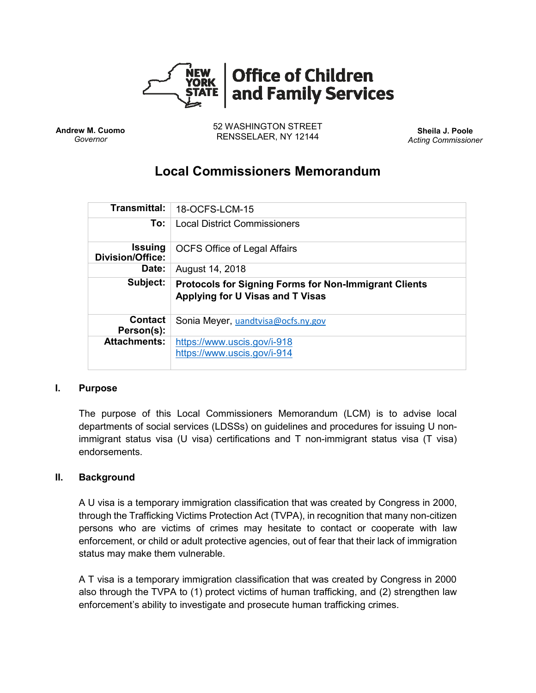

**Andrew M. Cuomo** *Governor*

52 WASHINGTON STREET RENSSELAER, NY 12144 **Sheila J. Poole**

*Acting Commissioner*

# **Local Commissioners Memorandum**

| Transmittal:                       | 18-OCFS-LCM-15                                                                                   |
|------------------------------------|--------------------------------------------------------------------------------------------------|
| To:                                | <b>Local District Commissioners</b>                                                              |
| <b>Issuing</b><br>Division/Office: | <b>OCFS Office of Legal Affairs</b>                                                              |
| Date:                              | August 14, 2018                                                                                  |
| Subject:                           | <b>Protocols for Signing Forms for Non-Immigrant Clients</b><br>Applying for U Visas and T Visas |
| Contact<br>Person(s):              | Sonia Meyer, uandtvisa@ocfs.ny.gov                                                               |
| <b>Attachments:</b>                | https://www.uscis.gov/i-918<br>https://www.uscis.gov/i-914                                       |

#### **I. Purpose**

The purpose of this Local Commissioners Memorandum (LCM) is to advise local departments of social services (LDSSs) on guidelines and procedures for issuing U nonimmigrant status visa (U visa) certifications and T non-immigrant status visa (T visa) endorsements.

### **II. Background**

A U visa is a temporary immigration classification that was created by Congress in 2000, through the Trafficking Victims Protection Act (TVPA), in recognition that many non-citizen persons who are victims of crimes may hesitate to contact or cooperate with law enforcement, or child or adult protective agencies, out of fear that their lack of immigration status may make them vulnerable.

A T visa is a temporary immigration classification that was created by Congress in 2000 also through the TVPA to (1) protect victims of human trafficking, and (2) strengthen law enforcement's ability to investigate and prosecute human trafficking crimes.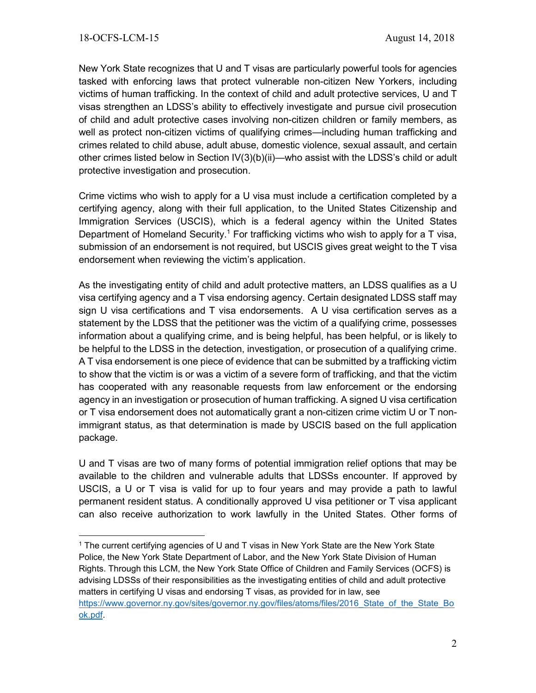$\overline{\phantom{a}}$ 

New York State recognizes that U and T visas are particularly powerful tools for agencies tasked with enforcing laws that protect vulnerable non-citizen New Yorkers, including victims of human trafficking. In the context of child and adult protective services, U and T visas strengthen an LDSS's ability to effectively investigate and pursue civil prosecution of child and adult protective cases involving non-citizen children or family members, as well as protect non-citizen victims of qualifying crimes—including human trafficking and crimes related to child abuse, adult abuse, domestic violence, sexual assault, and certain other crimes listed below in Section IV(3)(b)(ii)—who assist with the LDSS's child or adult protective investigation and prosecution.

Crime victims who wish to apply for a U visa must include a certification completed by a certifying agency, along with their full application, to the United States Citizenship and Immigration Services (USCIS), which is a federal agency within the United States Department of Homeland Security.<sup>1</sup> For trafficking victims who wish to apply for a T visa, submission of an endorsement is not required, but USCIS gives great weight to the T visa endorsement when reviewing the victim's application.

As the investigating entity of child and adult protective matters, an LDSS qualifies as a U visa certifying agency and a T visa endorsing agency. Certain designated LDSS staff may sign U visa certifications and T visa endorsements. A U visa certification serves as a statement by the LDSS that the petitioner was the victim of a qualifying crime, possesses information about a qualifying crime, and is being helpful, has been helpful, or is likely to be helpful to the LDSS in the detection, investigation, or prosecution of a qualifying crime. A T visa endorsement is one piece of evidence that can be submitted by a trafficking victim to show that the victim is or was a victim of a severe form of trafficking, and that the victim has cooperated with any reasonable requests from law enforcement or the endorsing agency in an investigation or prosecution of human trafficking. A signed U visa certification or T visa endorsement does not automatically grant a non-citizen crime victim U or T nonimmigrant status, as that determination is made by USCIS based on the full application package.

U and T visas are two of many forms of potential immigration relief options that may be available to the children and vulnerable adults that LDSSs encounter. If approved by USCIS, a U or T visa is valid for up to four years and may provide a path to lawful permanent resident status. A conditionally approved U visa petitioner or T visa applicant can also receive authorization to work lawfully in the United States. Other forms of

<sup>1</sup> The current certifying agencies of U and T visas in New York State are the New York State Police, the New York State Department of Labor, and the New York State Division of Human Rights. Through this LCM, the New York State Office of Children and Family Services (OCFS) is advising LDSSs of their responsibilities as the investigating entities of child and adult protective matters in certifying U visas and endorsing T visas, as provided for in law, see https://www.governor.ny.gov/sites/governor.ny.gov/files/atoms/files/2016 State\_of\_the\_State\_Bo [ok.pdf.](https://www.governor.ny.gov/sites/governor.ny.gov/files/atoms/files/2016_State_of_the_State_Book.pdf)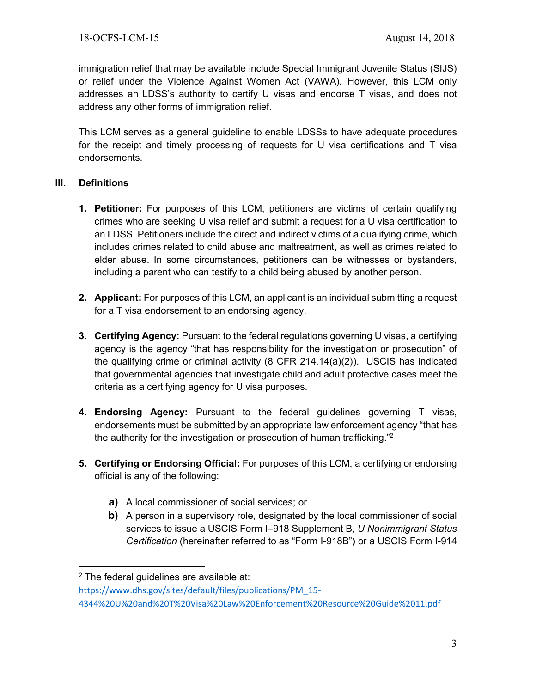immigration relief that may be available include Special Immigrant Juvenile Status (SIJS) or relief under the Violence Against Women Act (VAWA). However, this LCM only addresses an LDSS's authority to certify U visas and endorse T visas, and does not address any other forms of immigration relief.

This LCM serves as a general guideline to enable LDSSs to have adequate procedures for the receipt and timely processing of requests for U visa certifications and T visa endorsements.

# **III. Definitions**

- **1. Petitioner:** For purposes of this LCM, petitioners are victims of certain qualifying crimes who are seeking U visa relief and submit a request for a U visa certification to an LDSS. Petitioners include the direct and indirect victims of a qualifying crime, which includes crimes related to child abuse and maltreatment, as well as crimes related to elder abuse. In some circumstances, petitioners can be witnesses or bystanders, including a parent who can testify to a child being abused by another person.
- **2. Applicant:** For purposes of this LCM, an applicant is an individual submitting a request for a T visa endorsement to an endorsing agency.
- **3. Certifying Agency:** Pursuant to the federal regulations governing U visas, a certifying agency is the agency "that has responsibility for the investigation or prosecution" of the qualifying crime or criminal activity (8 CFR 214.14(a)(2)). USCIS has indicated that governmental agencies that investigate child and adult protective cases meet the criteria as a certifying agency for U visa purposes.
- **4. Endorsing Agency:** Pursuant to the federal guidelines governing T visas, endorsements must be submitted by an appropriate law enforcement agency "that has the authority for the investigation or prosecution of human trafficking."<sup>2</sup>
- **5. Certifying or Endorsing Official:** For purposes of this LCM, a certifying or endorsing official is any of the following:
	- **a)** A local commissioner of social services; or
	- **b)** A person in a supervisory role, designated by the local commissioner of social services to issue a USCIS Form I–918 Supplement B, *U Nonimmigrant Status Certification* (hereinafter referred to as "Form I-918B") or a USCIS Form I-914

 $\overline{a}$ 

 $2$  The federal guidelines are available at:

[https://www.dhs.gov/sites/default/files/publications/PM\\_15-](https://www.dhs.gov/sites/default/files/publications/PM_15-4344%20U%20and%20T%20Visa%20Law%20Enforcement%20Resource%20Guide%2011.pdf) [4344%20U%20and%20T%20Visa%20Law%20Enforcement%20Resource%20Guide%2011.pdf](https://www.dhs.gov/sites/default/files/publications/PM_15-4344%20U%20and%20T%20Visa%20Law%20Enforcement%20Resource%20Guide%2011.pdf)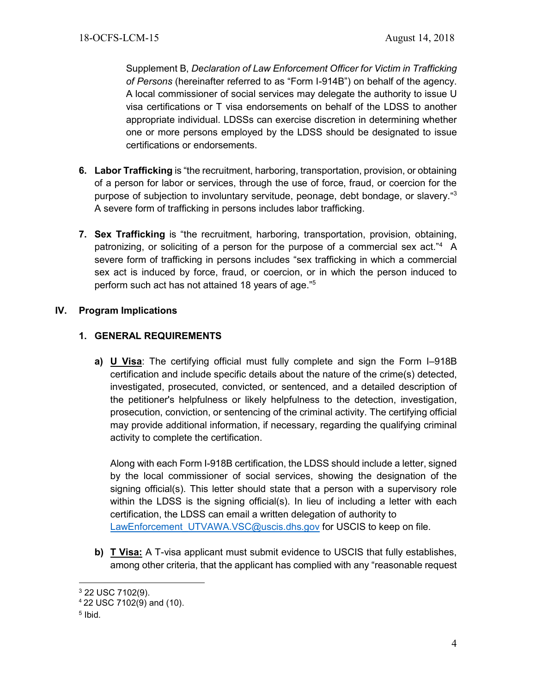Supplement B, *Declaration of Law Enforcement Officer for Victim in Trafficking of Persons* (hereinafter referred to as "Form I-914B") on behalf of the agency. A local commissioner of social services may delegate the authority to issue U visa certifications or T visa endorsements on behalf of the LDSS to another appropriate individual. LDSSs can exercise discretion in determining whether one or more persons employed by the LDSS should be designated to issue certifications or endorsements.

- **6. Labor Trafficking** is "the recruitment, harboring, transportation, provision, or obtaining of a person for labor or services, through the use of force, fraud, or coercion for the purpose of subjection to involuntary servitude, peonage, debt bondage, or slavery." 3 A severe form of trafficking in persons includes labor trafficking.
- **7. Sex Trafficking** is "the recruitment, harboring, transportation, provision, obtaining, patronizing, or soliciting of a person for the purpose of a commercial sex act."<sup>4</sup> A severe form of trafficking in persons includes "sex trafficking in which a commercial sex act is induced by force, fraud, or coercion, or in which the person induced to perform such act has not attained 18 years of age." 5

# **IV. Program Implications**

# **1. GENERAL REQUIREMENTS**

**a) U Visa**: The certifying official must fully complete and sign the Form I–918B certification and include specific details about the nature of the crime(s) detected, investigated, prosecuted, convicted, or sentenced, and a detailed description of the petitioner's helpfulness or likely helpfulness to the detection, investigation, prosecution, conviction, or sentencing of the criminal activity. The certifying official may provide additional information, if necessary, regarding the qualifying criminal activity to complete the certification.

Along with each Form I-918B certification, the LDSS should include a letter, signed by the local commissioner of social services, showing the designation of the signing official(s). This letter should state that a person with a supervisory role within the LDSS is the signing official(s). In lieu of including a letter with each certification, the LDSS can email a written delegation of authority to [LawEnforcement\\_UTVAWA.VSC@uscis.dhs.gov](mailto:LawEnforcement_UTVAWA.VSC@uscis.dhs.gov) for USCIS to keep on file.

**b) T Visa:** A T-visa applicant must submit evidence to USCIS that fully establishes, among other criteria, that the applicant has complied with any "reasonable request

 $\overline{\phantom{a}}$ <sup>3</sup> 22 USC 7102(9).

<sup>4</sup> 22 USC 7102(9) and (10).

<sup>5</sup> Ibid.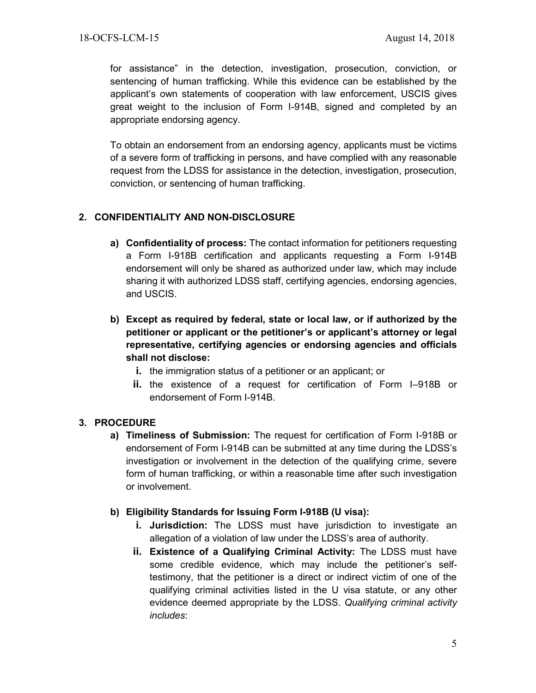for assistance" in the detection, investigation, prosecution, conviction, or sentencing of human trafficking. While this evidence can be established by the applicant's own statements of cooperation with law enforcement, USCIS gives great weight to the inclusion of Form I-914B, signed and completed by an appropriate endorsing agency.

To obtain an endorsement from an endorsing agency, applicants must be victims of a severe form of trafficking in persons, and have complied with any reasonable request from the LDSS for assistance in the detection, investigation, prosecution, conviction, or sentencing of human trafficking.

# **2. CONFIDENTIALITY AND NON-DISCLOSURE**

- **a) Confidentiality of process:** The contact information for petitioners requesting a Form I-918B certification and applicants requesting a Form I-914B endorsement will only be shared as authorized under law, which may include sharing it with authorized LDSS staff, certifying agencies, endorsing agencies, and USCIS.
- **b) Except as required by federal, state or local law, or if authorized by the petitioner or applicant or the petitioner's or applicant's attorney or legal representative, certifying agencies or endorsing agencies and officials shall not disclose:** 
	- **i.** the immigration status of a petitioner or an applicant; or
	- **ii.** the existence of a request for certification of Form I–918B or endorsement of Form I-914B.

# **3. PROCEDURE**

**a) Timeliness of Submission:** The request for certification of Form I-918B or endorsement of Form I-914B can be submitted at any time during the LDSS's investigation or involvement in the detection of the qualifying crime, severe form of human trafficking, or within a reasonable time after such investigation or involvement.

# **b) Eligibility Standards for Issuing Form I-918B (U visa):**

- **i. Jurisdiction:** The LDSS must have jurisdiction to investigate an allegation of a violation of law under the LDSS's area of authority.
- **ii. Existence of a Qualifying Criminal Activity:** The LDSS must have some credible evidence, which may include the petitioner's selftestimony, that the petitioner is a direct or indirect victim of one of the qualifying criminal activities listed in the U visa statute, or any other evidence deemed appropriate by the LDSS. *Qualifying criminal activity includes*: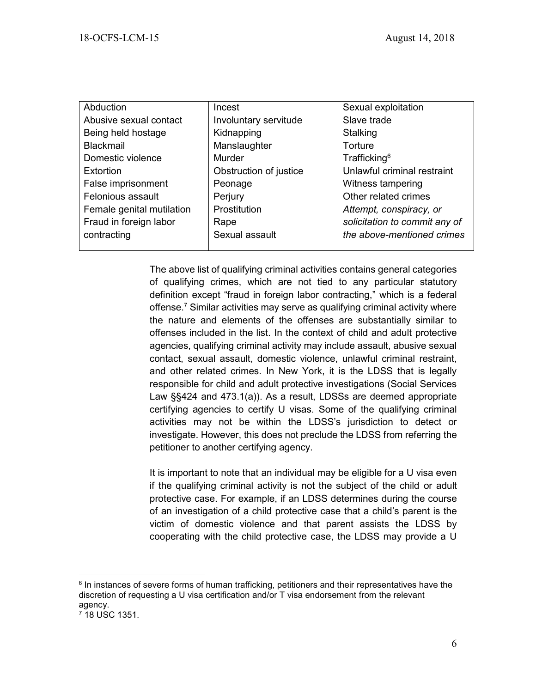| Abduction                 | Incest                 | Sexual exploitation           |
|---------------------------|------------------------|-------------------------------|
| Abusive sexual contact    | Involuntary servitude  | Slave trade                   |
| Being held hostage        | Kidnapping             | Stalking                      |
| <b>Blackmail</b>          | Manslaughter           | Torture                       |
| Domestic violence         | Murder                 | Trafficking <sup>6</sup>      |
| Extortion                 | Obstruction of justice | Unlawful criminal restraint   |
| False imprisonment        | Peonage                | Witness tampering             |
| Felonious assault         | Perjury                | Other related crimes          |
| Female genital mutilation | Prostitution           | Attempt, conspiracy, or       |
| Fraud in foreign labor    | Rape                   | solicitation to commit any of |
| contracting               | Sexual assault         | the above-mentioned crimes    |
|                           |                        |                               |

The above list of qualifying criminal activities contains general categories of qualifying crimes, which are not tied to any particular statutory definition except "fraud in foreign labor contracting," which is a federal offense. <sup>7</sup> Similar activities may serve as qualifying criminal activity where the nature and elements of the offenses are substantially similar to offenses included in the list. In the context of child and adult protective agencies, qualifying criminal activity may include assault, abusive sexual contact, sexual assault, domestic violence, unlawful criminal restraint, and other related crimes. In New York, it is the LDSS that is legally responsible for child and adult protective investigations (Social Services Law §§424 and 473.1(a)). As a result, LDSSs are deemed appropriate certifying agencies to certify U visas. Some of the qualifying criminal activities may not be within the LDSS's jurisdiction to detect or investigate. However, this does not preclude the LDSS from referring the petitioner to another certifying agency.

It is important to note that an individual may be eligible for a U visa even if the qualifying criminal activity is not the subject of the child or adult protective case. For example, if an LDSS determines during the course of an investigation of a child protective case that a child's parent is the victim of domestic violence and that parent assists the LDSS by cooperating with the child protective case, the LDSS may provide a U

 $\overline{\phantom{a}}$ 

<sup>&</sup>lt;sup>6</sup> In instances of severe forms of human trafficking, petitioners and their representatives have the discretion of requesting a U visa certification and/or T visa endorsement from the relevant agency.

<sup>7</sup> 18 USC 1351.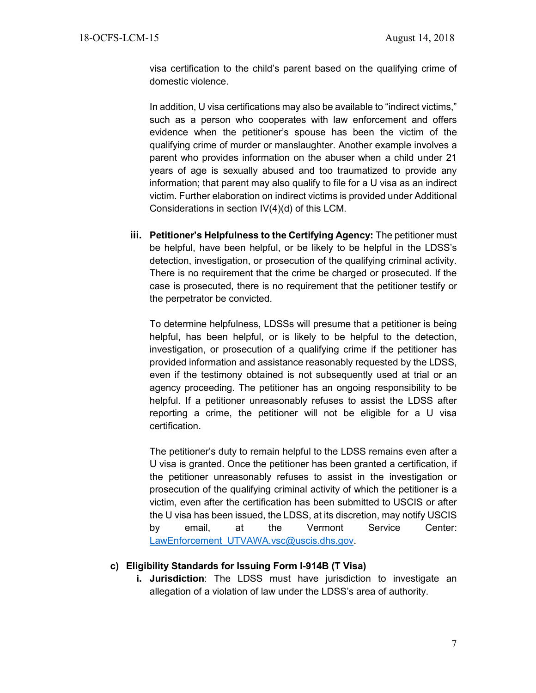visa certification to the child's parent based on the qualifying crime of domestic violence.

In addition, U visa certifications may also be available to "indirect victims," such as a person who cooperates with law enforcement and offers evidence when the petitioner's spouse has been the victim of the qualifying crime of murder or manslaughter. Another example involves a parent who provides information on the abuser when a child under 21 years of age is sexually abused and too traumatized to provide any information; that parent may also qualify to file for a U visa as an indirect victim. Further elaboration on indirect victims is provided under Additional Considerations in section IV(4)(d) of this LCM.

**iii. Petitioner's Helpfulness to the Certifying Agency:** The petitioner must be helpful, have been helpful, or be likely to be helpful in the LDSS's detection, investigation, or prosecution of the qualifying criminal activity. There is no requirement that the crime be charged or prosecuted. If the case is prosecuted, there is no requirement that the petitioner testify or the perpetrator be convicted.

To determine helpfulness, LDSSs will presume that a petitioner is being helpful, has been helpful, or is likely to be helpful to the detection, investigation, or prosecution of a qualifying crime if the petitioner has provided information and assistance reasonably requested by the LDSS, even if the testimony obtained is not subsequently used at trial or an agency proceeding. The petitioner has an ongoing responsibility to be helpful. If a petitioner unreasonably refuses to assist the LDSS after reporting a crime, the petitioner will not be eligible for a U visa certification.

The petitioner's duty to remain helpful to the LDSS remains even after a U visa is granted. Once the petitioner has been granted a certification, if the petitioner unreasonably refuses to assist in the investigation or prosecution of the qualifying criminal activity of which the petitioner is a victim, even after the certification has been submitted to USCIS or after the U visa has been issued, the LDSS, at its discretion, may notify USCIS by email, at the Vermont Service Center: [LawEnforcement\\_UTVAWA.vsc@uscis.dhs.gov.](mailto:LawEnforcement_UTVAWA.vsc@uscis.dhs.gov)

### **c) Eligibility Standards for Issuing Form I-914B (T Visa)**

**i. Jurisdiction**: The LDSS must have jurisdiction to investigate an allegation of a violation of law under the LDSS's area of authority.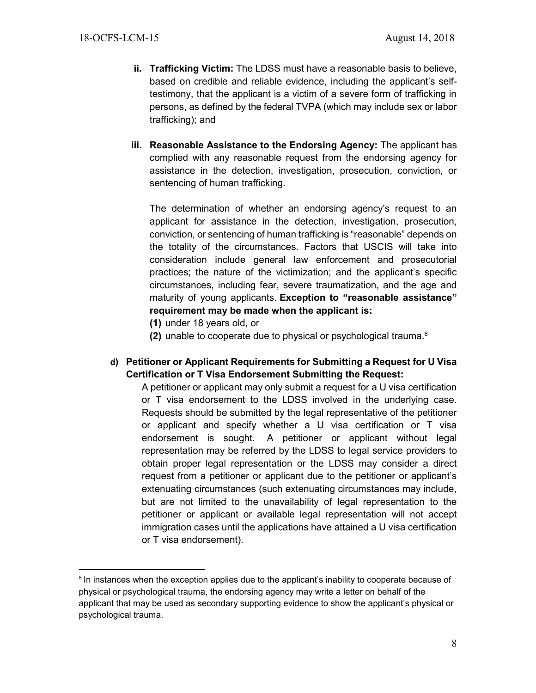$\overline{\phantom{a}}$ 

- **ii. Trafficking Victim:** The LDSS must have a reasonable basis to believe, based on credible and reliable evidence, including the applicant's selftestimony, that the applicant is a victim of a severe form of trafficking in persons, as defined by the federal TVPA (which may include sex or labor trafficking); and
- **iii. Reasonable Assistance to the Endorsing Agency:** The applicant has complied with any reasonable request from the endorsing agency for assistance in the detection, investigation, prosecution, conviction, or sentencing of human trafficking.

The determination of whether an endorsing agency's request to an applicant for assistance in the detection, investigation, prosecution, conviction, or sentencing of human trafficking is "reasonable" depends on the totality of the circumstances. Factors that USCIS will take into consideration include general law enforcement and prosecutorial practices; the nature of the victimization; and the applicant's specific circumstances, including fear, severe traumatization, and the age and maturity of young applicants. **Exception to "reasonable assistance" requirement may be made when the applicant is:**

- **(1)** under 18 years old, or
- **(2)** unable to cooperate due to physical or psychological trauma. 8
- **d) Petitioner or Applicant Requirements for Submitting a Request for U Visa Certification or T Visa Endorsement Submitting the Request:**

A petitioner or applicant may only submit a request for a U visa certification or T visa endorsement to the LDSS involved in the underlying case. Requests should be submitted by the legal representative of the petitioner or applicant and specify whether a U visa certification or T visa endorsement is sought. A petitioner or applicant without legal representation may be referred by the LDSS to legal service providers to obtain proper legal representation or the LDSS may consider a direct request from a petitioner or applicant due to the petitioner or applicant's extenuating circumstances (such extenuating circumstances may include, but are not limited to the unavailability of legal representation to the petitioner or applicant or available legal representation will not accept immigration cases until the applications have attained a U visa certification or T visa endorsement).

<sup>&</sup>lt;sup>8</sup> In instances when the exception applies due to the applicant's inability to cooperate because of physical or psychological trauma, the endorsing agency may write a letter on behalf of the applicant that may be used as secondary supporting evidence to show the applicant's physical or psychological trauma.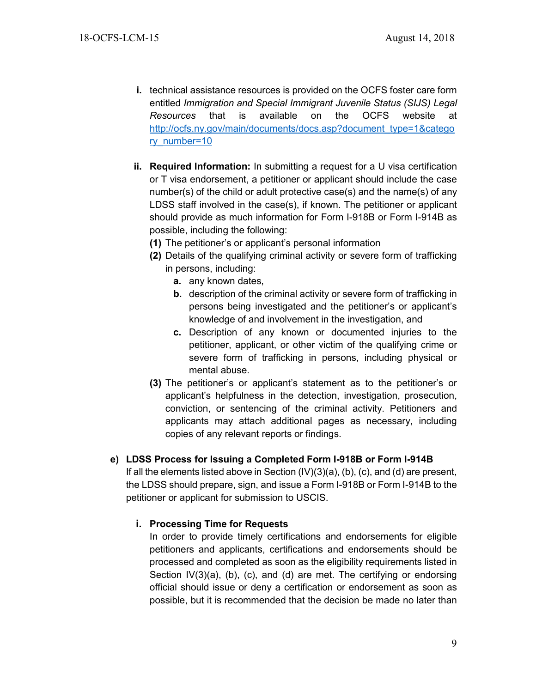- **i.** technical assistance resources is provided on the OCFS foster care form entitled *Immigration and Special Immigrant Juvenile Status (SIJS) Legal Resources* that is available on the OCFS website at [http://ocfs.ny.gov/main/documents/docs.asp?document\\_type=1&catego](http://ocfs.ny.gov/main/documents/docs.asp?document_type=1&category_number=10) [ry\\_number=10](http://ocfs.ny.gov/main/documents/docs.asp?document_type=1&category_number=10)
- **ii. Required Information:** In submitting a request for a U visa certification or T visa endorsement, a petitioner or applicant should include the case number(s) of the child or adult protective case(s) and the name(s) of any LDSS staff involved in the case(s), if known. The petitioner or applicant should provide as much information for Form I-918B or Form I-914B as possible, including the following:
	- **(1)** The petitioner's or applicant's personal information
	- **(2)** Details of the qualifying criminal activity or severe form of trafficking in persons, including:
		- **a.** any known dates,
		- **b.** description of the criminal activity or severe form of trafficking in persons being investigated and the petitioner's or applicant's knowledge of and involvement in the investigation, and
		- **c.** Description of any known or documented injuries to the petitioner, applicant, or other victim of the qualifying crime or severe form of trafficking in persons, including physical or mental abuse.
	- **(3)** The petitioner's or applicant's statement as to the petitioner's or applicant's helpfulness in the detection, investigation, prosecution, conviction, or sentencing of the criminal activity. Petitioners and applicants may attach additional pages as necessary, including copies of any relevant reports or findings.

### **e) LDSS Process for Issuing a Completed Form I-918B or Form I-914B**

If all the elements listed above in Section (IV)(3)(a), (b), (c), and (d) are present, the LDSS should prepare, sign, and issue a Form I-918B or Form I-914B to the petitioner or applicant for submission to USCIS.

# **i. Processing Time for Requests**

In order to provide timely certifications and endorsements for eligible petitioners and applicants, certifications and endorsements should be processed and completed as soon as the eligibility requirements listed in Section IV(3)(a), (b), (c), and (d) are met. The certifying or endorsing official should issue or deny a certification or endorsement as soon as possible, but it is recommended that the decision be made no later than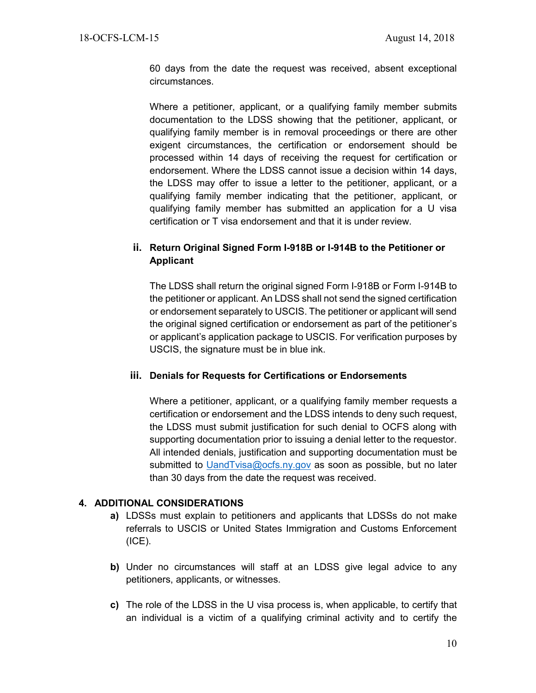60 days from the date the request was received, absent exceptional circumstances.

Where a petitioner, applicant, or a qualifying family member submits documentation to the LDSS showing that the petitioner, applicant, or qualifying family member is in removal proceedings or there are other exigent circumstances, the certification or endorsement should be processed within 14 days of receiving the request for certification or endorsement. Where the LDSS cannot issue a decision within 14 days, the LDSS may offer to issue a letter to the petitioner, applicant, or a qualifying family member indicating that the petitioner, applicant, or qualifying family member has submitted an application for a U visa certification or T visa endorsement and that it is under review.

# **ii. Return Original Signed Form I-918B or I-914B to the Petitioner or Applicant**

The LDSS shall return the original signed Form I-918B or Form I-914B to the petitioner or applicant. An LDSS shall not send the signed certification or endorsement separately to USCIS. The petitioner or applicant will send the original signed certification or endorsement as part of the petitioner's or applicant's application package to USCIS. For verification purposes by USCIS, the signature must be in blue ink.

#### **iii. Denials for Requests for Certifications or Endorsements**

Where a petitioner, applicant, or a qualifying family member requests a certification or endorsement and the LDSS intends to deny such request, the LDSS must submit justification for such denial to OCFS along with supporting documentation prior to issuing a denial letter to the requestor. All intended denials, justification and supporting documentation must be submitted to [UandTvisa@ocfs.ny.gov](mailto:Sonia.Meyer@ocfs.ny.gov) as soon as possible, but no later than 30 days from the date the request was received.

#### **4. ADDITIONAL CONSIDERATIONS**

- **a)** LDSSs must explain to petitioners and applicants that LDSSs do not make referrals to USCIS or United States Immigration and Customs Enforcement (ICE).
- **b)** Under no circumstances will staff at an LDSS give legal advice to any petitioners, applicants, or witnesses.
- **c)** The role of the LDSS in the U visa process is, when applicable, to certify that an individual is a victim of a qualifying criminal activity and to certify the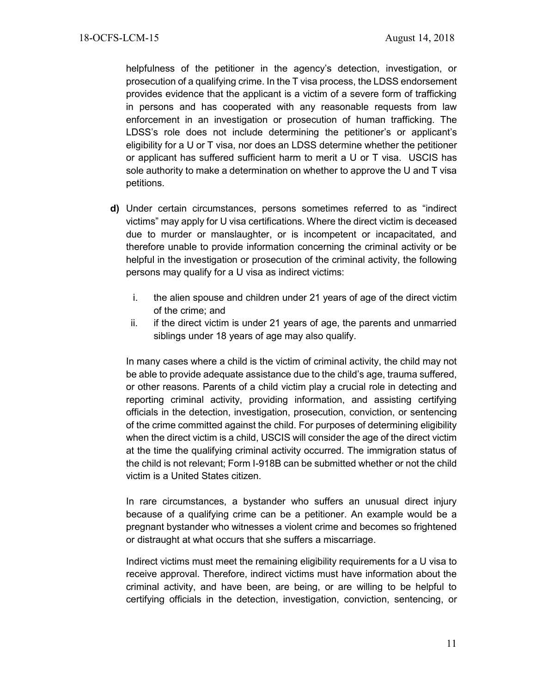helpfulness of the petitioner in the agency's detection, investigation, or prosecution of a qualifying crime. In the T visa process, the LDSS endorsement provides evidence that the applicant is a victim of a severe form of trafficking in persons and has cooperated with any reasonable requests from law enforcement in an investigation or prosecution of human trafficking. The LDSS's role does not include determining the petitioner's or applicant's eligibility for a U or T visa, nor does an LDSS determine whether the petitioner or applicant has suffered sufficient harm to merit a U or T visa. USCIS has sole authority to make a determination on whether to approve the U and T visa petitions.

- **d)** Under certain circumstances, persons sometimes referred to as "indirect victims" may apply for U visa certifications. Where the direct victim is deceased due to murder or manslaughter, or is incompetent or incapacitated, and therefore unable to provide information concerning the criminal activity or be helpful in the investigation or prosecution of the criminal activity, the following persons may qualify for a U visa as indirect victims:
	- i. the alien spouse and children under 21 years of age of the direct victim of the crime; and
	- ii. if the direct victim is under 21 years of age, the parents and unmarried siblings under 18 years of age may also qualify.

In many cases where a child is the victim of criminal activity, the child may not be able to provide adequate assistance due to the child's age, trauma suffered, or other reasons. Parents of a child victim play a crucial role in detecting and reporting criminal activity, providing information, and assisting certifying officials in the detection, investigation, prosecution, conviction, or sentencing of the crime committed against the child. For purposes of determining eligibility when the direct victim is a child, USCIS will consider the age of the direct victim at the time the qualifying criminal activity occurred. The immigration status of the child is not relevant; Form I-918B can be submitted whether or not the child victim is a United States citizen.

In rare circumstances, a bystander who suffers an unusual direct injury because of a qualifying crime can be a petitioner. An example would be a pregnant bystander who witnesses a violent crime and becomes so frightened or distraught at what occurs that she suffers a miscarriage.

Indirect victims must meet the remaining eligibility requirements for a U visa to receive approval. Therefore, indirect victims must have information about the criminal activity, and have been, are being, or are willing to be helpful to certifying officials in the detection, investigation, conviction, sentencing, or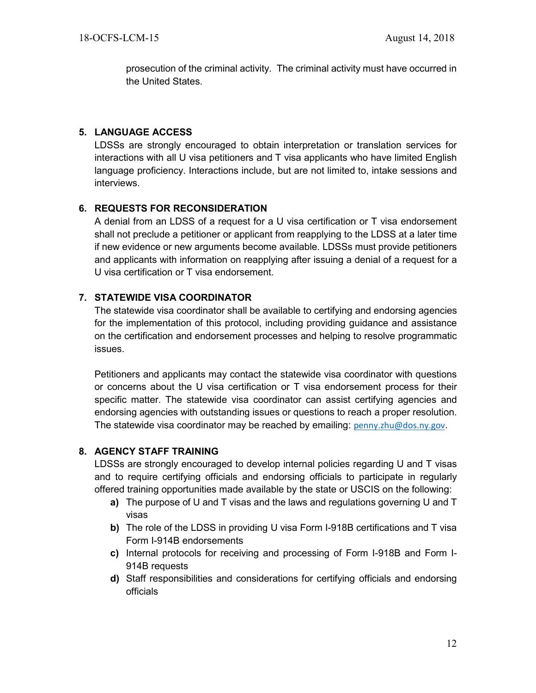prosecution of the criminal activity. The criminal activity must have occurred in the United States.

# **5. LANGUAGE ACCESS**

LDSSs are strongly encouraged to obtain interpretation or translation services for interactions with all U visa petitioners and T visa applicants who have limited English language proficiency. Interactions include, but are not limited to, intake sessions and interviews.

# **6. REQUESTS FOR RECONSIDERATION**

A denial from an LDSS of a request for a U visa certification or T visa endorsement shall not preclude a petitioner or applicant from reapplying to the LDSS at a later time if new evidence or new arguments become available. LDSSs must provide petitioners and applicants with information on reapplying after issuing a denial of a request for a U visa certification or T visa endorsement.

# **7. STATEWIDE VISA COORDINATOR**

The statewide visa coordinator shall be available to certifying and endorsing agencies for the implementation of this protocol, including providing guidance and assistance on the certification and endorsement processes and helping to resolve programmatic issues.

Petitioners and applicants may contact the statewide visa coordinator with questions or concerns about the U visa certification or T visa endorsement process for their specific matter. The statewide visa coordinator can assist certifying agencies and endorsing agencies with outstanding issues or questions to reach a proper resolution. The statewide visa coordinator may be reached by emailing: [penny.zhu@dos.ny.gov](mailto:penny.zhu@dos.ny.gov).

# **8. AGENCY STAFF TRAINING**

LDSSs are strongly encouraged to develop internal policies regarding U and T visas and to require certifying officials and endorsing officials to participate in regularly offered training opportunities made available by the state or USCIS on the following:

- **a)** The purpose of U and T visas and the laws and regulations governing U and T visas
- **b)** The role of the LDSS in providing U visa Form I-918B certifications and T visa Form I-914B endorsements
- **c)** Internal protocols for receiving and processing of Form I-918B and Form I-914B requests
- **d)** Staff responsibilities and considerations for certifying officials and endorsing officials